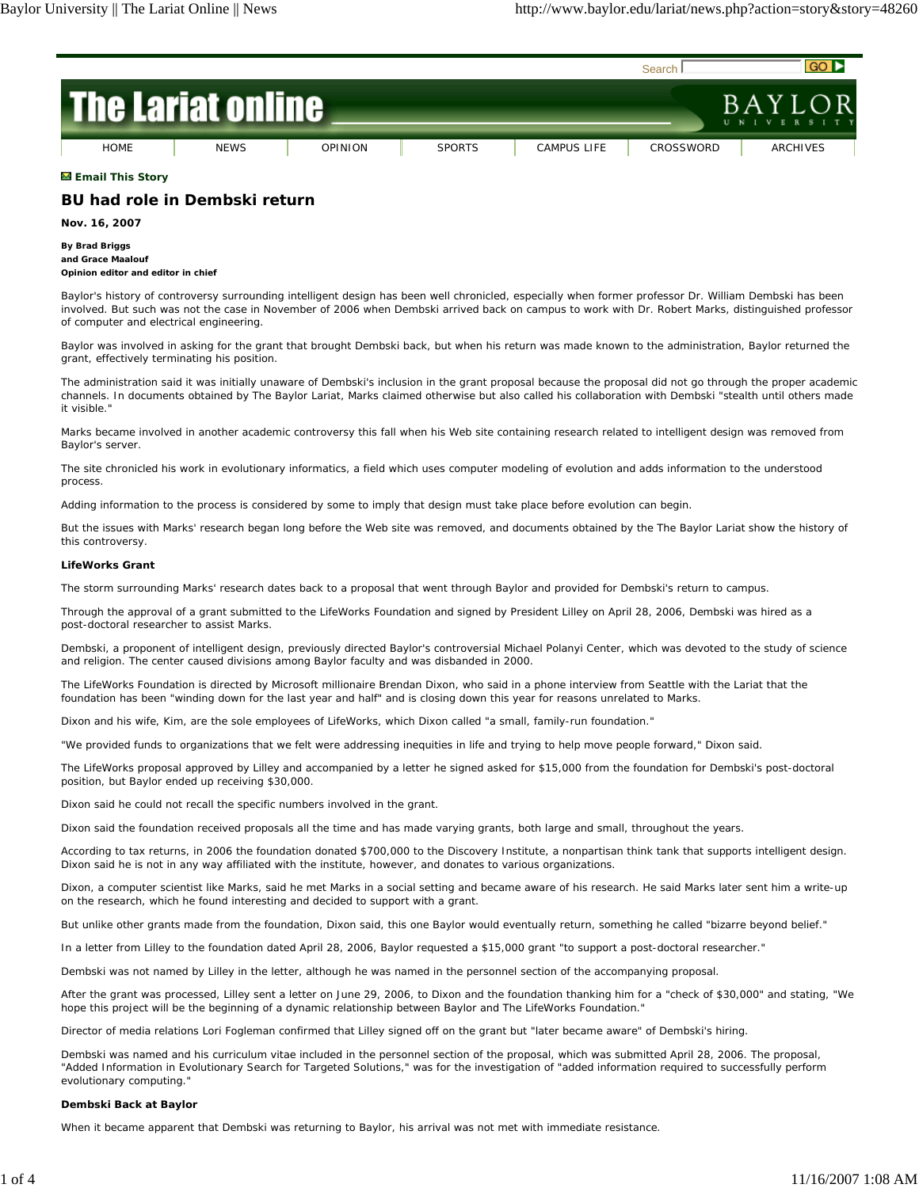

# **Email This Story**

# **BU had role in Dembski return**

**Nov. 16, 2007**

**By Brad Briggs and Grace Maalouf Opinion editor and editor in chief**

Baylor's history of controversy surrounding intelligent design has been well chronicled, especially when former professor Dr. William Dembski has been involved. But such was not the case in November of 2006 when Dembski arrived back on campus to work with Dr. Robert Marks, distinguished professor of computer and electrical engineering.

Baylor was involved in asking for the grant that brought Dembski back, but when his return was made known to the administration, Baylor returned the grant, effectively terminating his position.

The administration said it was initially unaware of Dembski's inclusion in the grant proposal because the proposal did not go through the proper academic channels. In documents obtained by The Baylor Lariat, Marks claimed otherwise but also called his collaboration with Dembski "stealth until others made it visible."

Marks became involved in another academic controversy this fall when his Web site containing research related to intelligent design was removed from Baylor's server.

The site chronicled his work in evolutionary informatics, a field which uses computer modeling of evolution and adds information to the understood process.

Adding information to the process is considered by some to imply that design must take place before evolution can begin.

But the issues with Marks' research began long before the Web site was removed, and documents obtained by the The Baylor Lariat show the history of this controversy.

## **LifeWorks Grant**

The storm surrounding Marks' research dates back to a proposal that went through Baylor and provided for Dembski's return to campus.

Through the approval of a grant submitted to the LifeWorks Foundation and signed by President Lilley on April 28, 2006, Dembski was hired as a post-doctoral researcher to assist Marks.

Dembski, a proponent of intelligent design, previously directed Baylor's controversial Michael Polanyi Center, which was devoted to the study of science and religion. The center caused divisions among Baylor faculty and was disbanded in 2000.

The LifeWorks Foundation is directed by Microsoft millionaire Brendan Dixon, who said in a phone interview from Seattle with the Lariat that the foundation has been "winding down for the last year and half" and is closing down this year for reasons unrelated to Marks.

Dixon and his wife, Kim, are the sole employees of LifeWorks, which Dixon called "a small, family-run foundation."

"We provided funds to organizations that we felt were addressing inequities in life and trying to help move people forward," Dixon said.

The LifeWorks proposal approved by Lilley and accompanied by a letter he signed asked for \$15,000 from the foundation for Dembski's post-doctoral position, but Baylor ended up receiving \$30,000.

Dixon said he could not recall the specific numbers involved in the grant.

Dixon said the foundation received proposals all the time and has made varying grants, both large and small, throughout the years.

According to tax returns, in 2006 the foundation donated \$700,000 to the Discovery Institute, a nonpartisan think tank that supports intelligent design. Dixon said he is not in any way affiliated with the institute, however, and donates to various organizations.

Dixon, a computer scientist like Marks, said he met Marks in a social setting and became aware of his research. He said Marks later sent him a write-up on the research, which he found interesting and decided to support with a grant.

But unlike other grants made from the foundation, Dixon said, this one Baylor would eventually return, something he called "bizarre beyond belief."

In a letter from Lilley to the foundation dated April 28, 2006, Baylor requested a \$15,000 grant "to support a post-doctoral researcher."

Dembski was not named by Lilley in the letter, although he was named in the personnel section of the accompanying proposal.

After the grant was processed, Lilley sent a letter on June 29, 2006, to Dixon and the foundation thanking him for a "check of \$30,000" and stating, "We hope this project will be the beginning of a dynamic relationship between Baylor and The LifeWorks Foundation."

Director of media relations Lori Fogleman confirmed that Lilley signed off on the grant but "later became aware" of Dembski's hiring.

Dembski was named and his curriculum vitae included in the personnel section of the proposal, which was submitted April 28, 2006. The proposal, "Added Information in Evolutionary Search for Targeted Solutions," was for the investigation of "added information required to successfully perform evolutionary computing."

# **Dembski Back at Baylor**

When it became apparent that Dembski was returning to Baylor, his arrival was not met with immediate resistance.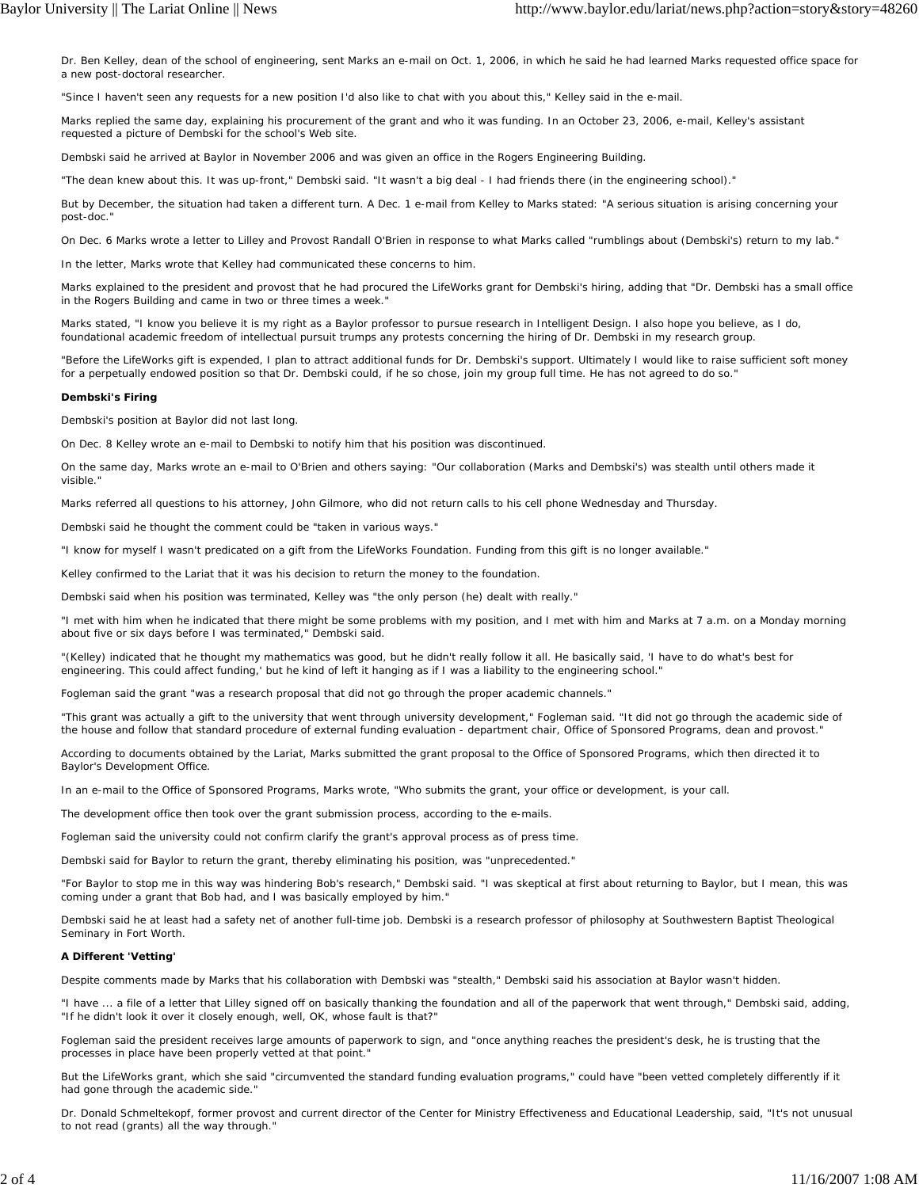Dr. Ben Kelley, dean of the school of engineering, sent Marks an e-mail on Oct. 1, 2006, in which he said he had learned Marks requested office space for a new post-doctoral researcher.

"Since I haven't seen any requests for a new position I'd also like to chat with you about this," Kelley said in the e-mail.

Marks replied the same day, explaining his procurement of the grant and who it was funding. In an October 23, 2006, e-mail, Kelley's assistant requested a picture of Dembski for the school's Web site.

Dembski said he arrived at Baylor in November 2006 and was given an office in the Rogers Engineering Building.

"The dean knew about this. It was up-front," Dembski said. "It wasn't a big deal - I had friends there (in the engineering school)."

But by December, the situation had taken a different turn. A Dec. 1 e-mail from Kelley to Marks stated: "A serious situation is arising concerning your post-doc."

On Dec. 6 Marks wrote a letter to Lilley and Provost Randall O'Brien in response to what Marks called "rumblings about (Dembski's) return to my lab."

In the letter, Marks wrote that Kelley had communicated these concerns to him.

Marks explained to the president and provost that he had procured the LifeWorks grant for Dembski's hiring, adding that "Dr. Dembski has a small office in the Rogers Building and came in two or three times a week."

Marks stated, "I know you believe it is my right as a Baylor professor to pursue research in Intelligent Design. I also hope you believe, as I do, foundational academic freedom of intellectual pursuit trumps any protests concerning the hiring of Dr. Dembski in my research group.

"Before the LifeWorks gift is expended, I plan to attract additional funds for Dr. Dembski's support. Ultimately I would like to raise sufficient soft money for a perpetually endowed position so that Dr. Dembski could, if he so chose, join my group full time. He has not agreed to do so."

## **Dembski's Firing**

Dembski's position at Baylor did not last long.

On Dec. 8 Kelley wrote an e-mail to Dembski to notify him that his position was discontinued.

On the same day, Marks wrote an e-mail to O'Brien and others saying: "Our collaboration (Marks and Dembski's) was stealth until others made it visible."

Marks referred all questions to his attorney, John Gilmore, who did not return calls to his cell phone Wednesday and Thursday.

Dembski said he thought the comment could be "taken in various ways."

"I know for myself I wasn't predicated on a gift from the LifeWorks Foundation. Funding from this gift is no longer available."

Kelley confirmed to the Lariat that it was his decision to return the money to the foundation.

Dembski said when his position was terminated, Kelley was "the only person (he) dealt with really."

"I met with him when he indicated that there might be some problems with my position, and I met with him and Marks at 7 a.m. on a Monday morning about five or six days before I was terminated," Dembski said.

"(Kelley) indicated that he thought my mathematics was good, but he didn't really follow it all. He basically said, 'I have to do what's best for engineering. This could affect funding,' but he kind of left it hanging as if I was a liability to the engineering school."

Fogleman said the grant "was a research proposal that did not go through the proper academic channels."

"This grant was actually a gift to the university that went through university development," Fogleman said. "It did not go through the academic side of the house and follow that standard procedure of external funding evaluation - department chair, Office of Sponsored Programs, dean and provost."

According to documents obtained by the Lariat, Marks submitted the grant proposal to the Office of Sponsored Programs, which then directed it to Baylor's Development Office.

In an e-mail to the Office of Sponsored Programs, Marks wrote, "Who submits the grant, your office or development, is your call.

The development office then took over the grant submission process, according to the e-mails.

Fogleman said the university could not confirm clarify the grant's approval process as of press time.

Dembski said for Baylor to return the grant, thereby eliminating his position, was "unprecedented."

"For Baylor to stop me in this way was hindering Bob's research," Dembski said. "I was skeptical at first about returning to Baylor, but I mean, this was coming under a grant that Bob had, and I was basically employed by him."

Dembski said he at least had a safety net of another full-time job. Dembski is a research professor of philosophy at Southwestern Baptist Theological Seminary in Fort Worth.

## **A Different 'Vetting'**

Despite comments made by Marks that his collaboration with Dembski was "stealth," Dembski said his association at Baylor wasn't hidden.

"I have ... a file of a letter that Lilley signed off on basically thanking the foundation and all of the paperwork that went through," Dembski said, adding, "If he didn't look it over it closely enough, well, OK, whose fault is that?"

Fogleman said the president receives large amounts of paperwork to sign, and "once anything reaches the president's desk, he is trusting that the processes in place have been properly vetted at that point."

But the LifeWorks grant, which she said "circumvented the standard funding evaluation programs," could have "been vetted completely differently if it had gone through the academic side."

Dr. Donald Schmeltekopf, former provost and current director of the Center for Ministry Effectiveness and Educational Leadership, said, "It's not unusual to not read (grants) all the way through."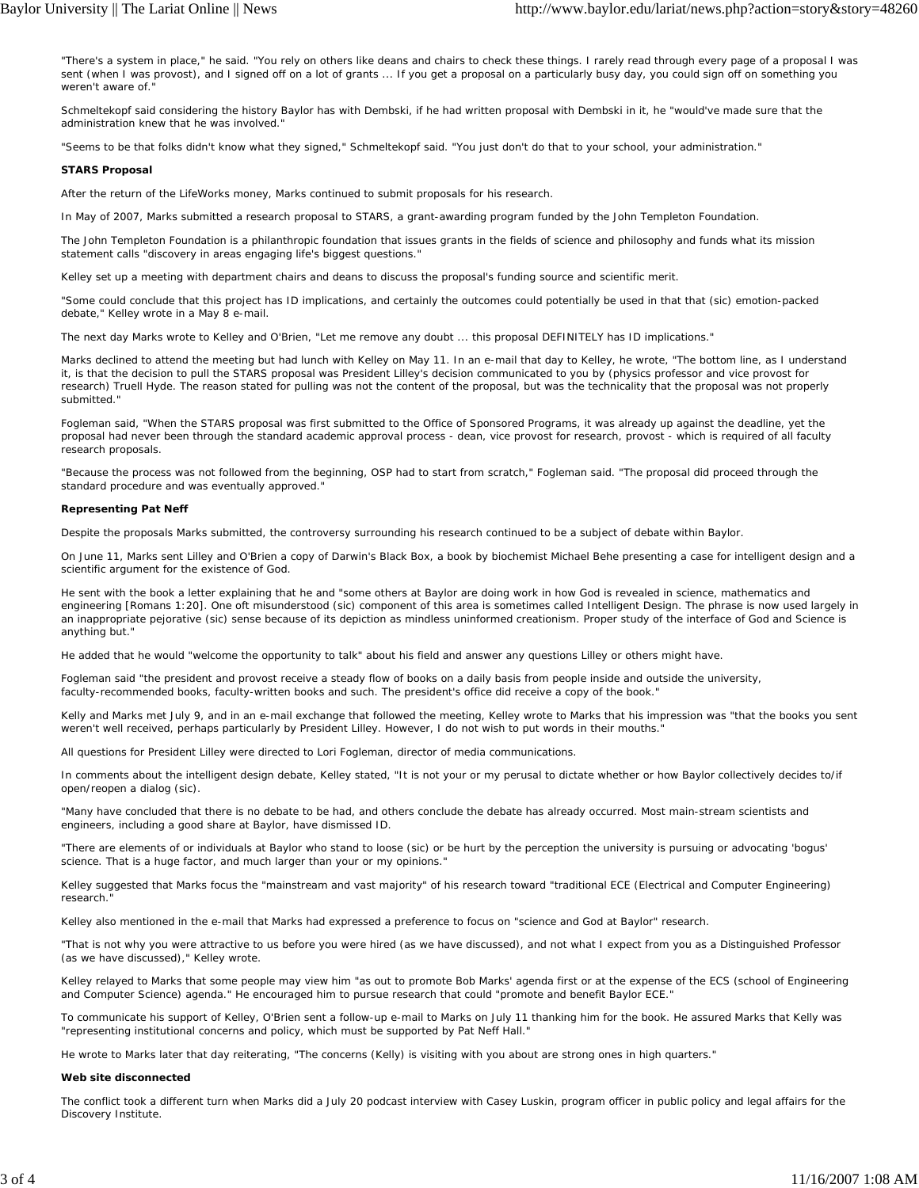"There's a system in place," he said. "You rely on others like deans and chairs to check these things. I rarely read through every page of a proposal I was sent (when I was provost), and I signed off on a lot of grants ... If you get a proposal on a particularly busy day, you could sign off on something you weren't aware of."

Schmeltekopf said considering the history Baylor has with Dembski, if he had written proposal with Dembski in it, he "would've made sure that the administration knew that he was involved.

"Seems to be that folks didn't know what they signed," Schmeltekopf said. "You just don't do that to your school, your administration."

# **STARS Proposal**

After the return of the LifeWorks money, Marks continued to submit proposals for his research.

In May of 2007, Marks submitted a research proposal to STARS, a grant-awarding program funded by the John Templeton Foundation.

The John Templeton Foundation is a philanthropic foundation that issues grants in the fields of science and philosophy and funds what its mission statement calls "discovery in areas engaging life's biggest questions."

Kelley set up a meeting with department chairs and deans to discuss the proposal's funding source and scientific merit.

"Some could conclude that this project has ID implications, and certainly the outcomes could potentially be used in that that (sic) emotion-packed debate," Kelley wrote in a May 8 e-mail.

The next day Marks wrote to Kelley and O'Brien, "Let me remove any doubt ... this proposal DEFINITELY has ID implications."

Marks declined to attend the meeting but had lunch with Kelley on May 11. In an e-mail that day to Kelley, he wrote, "The bottom line, as I understand it, is that the decision to pull the STARS proposal was President Lilley's decision communicated to you by (physics professor and vice provost for research) Truell Hyde. The reason stated for pulling was not the content of the proposal, but was the technicality that the proposal was not properly submitted."

Fogleman said, "When the STARS proposal was first submitted to the Office of Sponsored Programs, it was already up against the deadline, yet the proposal had never been through the standard academic approval process - dean, vice provost for research, provost - which is required of all faculty research proposals.

"Because the process was not followed from the beginning, OSP had to start from scratch," Fogleman said. "The proposal did proceed through the standard procedure and was eventually approved."

## **Representing Pat Neff**

Despite the proposals Marks submitted, the controversy surrounding his research continued to be a subject of debate within Baylor.

On June 11, Marks sent Lilley and O'Brien a copy of Darwin's Black Box, a book by biochemist Michael Behe presenting a case for intelligent design and a scientific argument for the existence of God.

He sent with the book a letter explaining that he and "some others at Baylor are doing work in how God is revealed in science, mathematics and engineering [Romans 1:20]. One oft misunderstood (sic) component of this area is sometimes called Intelligent Design. The phrase is now used largely in an inappropriate pejorative (sic) sense because of its depiction as mindless uninformed creationism. Proper study of the interface of God and Science is anything but."

He added that he would "welcome the opportunity to talk" about his field and answer any questions Lilley or others might have.

Fogleman said "the president and provost receive a steady flow of books on a daily basis from people inside and outside the university, faculty-recommended books, faculty-written books and such. The president's office did receive a copy of the book."

Kelly and Marks met July 9, and in an e-mail exchange that followed the meeting, Kelley wrote to Marks that his impression was "that the books you sent weren't well received, perhaps particularly by President Lilley. However, I do not wish to put words in their mouths."

All questions for President Lilley were directed to Lori Fogleman, director of media communications.

In comments about the intelligent design debate, Kelley stated, "It is not your or my perusal to dictate whether or how Baylor collectively decides to/if open/reopen a dialog (sic).

"Many have concluded that there is no debate to be had, and others conclude the debate has already occurred. Most main-stream scientists and engineers, including a good share at Baylor, have dismissed ID.

"There are elements of or individuals at Baylor who stand to loose (sic) or be hurt by the perception the university is pursuing or advocating 'bogus' science. That is a huge factor, and much larger than your or my opinions."

Kelley suggested that Marks focus the "mainstream and vast majority" of his research toward "traditional ECE (Electrical and Computer Engineering) research."

Kelley also mentioned in the e-mail that Marks had expressed a preference to focus on "science and God at Baylor" research.

"That is not why you were attractive to us before you were hired (as we have discussed), and not what I expect from you as a Distinguished Professor (as we have discussed)," Kelley wrote.

Kelley relayed to Marks that some people may view him "as out to promote Bob Marks' agenda first or at the expense of the ECS (school of Engineering and Computer Science) agenda." He encouraged him to pursue research that could "promote and benefit Baylor ECE."

To communicate his support of Kelley, O'Brien sent a follow-up e-mail to Marks on July 11 thanking him for the book. He assured Marks that Kelly was "representing institutional concerns and policy, which must be supported by Pat Neff Hall."

He wrote to Marks later that day reiterating, "The concerns (Kelly) is visiting with you about are strong ones in high quarters."

## **Web site disconnected**

The conflict took a different turn when Marks did a July 20 podcast interview with Casey Luskin, program officer in public policy and legal affairs for the Discovery Institute.